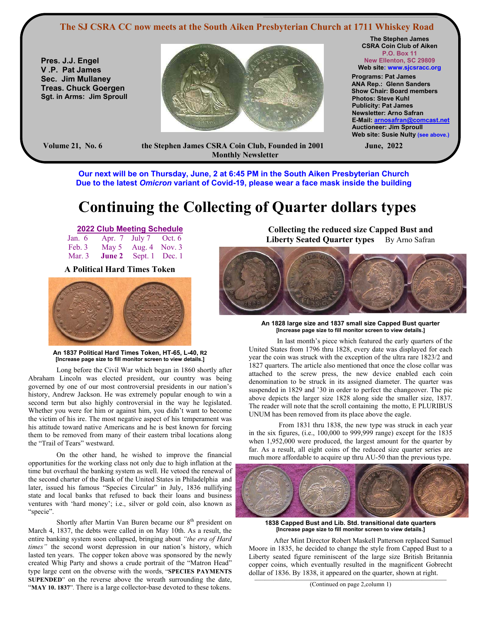#### **The SJ CSRA CC now meets at the South Aiken Presbyterian Church at 1711 Whiskey Road**

**Pres. J.J. Engel V .P. Pat James Sec. Jim Mullaney Treas. Chuck Goergen Sgt. in Arms: Jim Sproull**



**The Stephen James CSRA Coin Club of Aiken P.O. Box 11 New Ellenton, SC 29809** 

**Web site: www.sjcsracc.org Programs: Pat James ANA Rep.: Glenn Sanders Show Chair: Board members Photos: Steve Kuhl Publicity: Pat James Newsletter: Arno Safran E-Mail: arnosafran@comcast.net Auctioneer: Jim Sproull Web site: Susie Nulty (see above.)** 

**Volume 21, No. 6 the Stephen James CSRA Coin Club, Founded in 2001 June, 2022 Monthly Newsletter** 

**Our next will be on Thursday, June, 2 at 6:45 PM in the South Aiken Presbyterian Church Due to the latest** *Omicron* **variant of Covid-19, please wear a face mask inside the building** 

# **Continuing the Collecting of Quarter dollars types**

### **2022 Club Meeting Schedule**

| Jan. $6$ Apr. 7 July 7 Oct. $6$     |  |
|-------------------------------------|--|
| Feb. 3 May 5 Aug. 4 Nov. 3          |  |
| Mar. 3 <b>June 2</b> Sept. 1 Dec. 1 |  |

**A Political Hard Times Token** 



**An 1837 Political Hard Times Token, HT-65, L-40, R2 [Increase page size to fill monitor screen to view details.]** 

Long before the Civil War which began in 1860 shortly after Abraham Lincoln was elected president, our country was being governed by one of our most controversial presidents in our nation's history, Andrew Jackson. He was extremely popular enough to win a second term but also highly controversial in the way he legislated. Whether you were for him or against him, you didn't want to become the victim of his ire. The most negative aspect of his temperament was his attitude toward native Americans and he is best known for forcing them to be removed from many of their eastern tribal locations along the "Trail of Tears" westward.

On the other hand, he wished to improve the financial opportunities for the working class not only due to high inflation at the time but overhaul the banking system as well. He vetoed the renewal of the second charter of the Bank of the United States in Philadelphia and later, issued his famous "Species Circular" in July, 1836 nullifying state and local banks that refused to back their loans and business ventures with 'hard money'; i.e., silver or gold coin, also known as "specie".

Shortly after Martin Van Buren became our 8<sup>th</sup> president on March 4, 1837, the debts were called in on May 10th. As a result, the entire banking system soon collapsed, bringing about *"the era of Hard times"* the second worst depression in our nation's history, which lasted ten years. The copper token above was sponsored by the newly created Whig Party and shows a crude portrait of the "Matron Head" type large cent on the obverse with the words, "**SPECIES PAYMENTS SUPENDED**" on the reverse above the wreath surrounding the date, "**MAY 10. 1837**". There is a large collector-base devoted to these tokens.

**Collecting the reduced size Capped Bust and Liberty Seated Quarter types** By Arno Safran

 $\mathcal{L} = \{ \mathcal{L} = \{ \mathcal{L} = \mathcal{L} \}$ 



**An 1828 large size and 1837 small size Capped Bust quarter [Increase page size to fill monitor screen to view details.]** 

In last month's piece which featured the early quarters of the United States from 1796 thru 1828, every date was displayed for each year the coin was struck with the exception of the ultra rare 1823/2 and 1827 quarters. The article also mentioned that once the close collar was attached to the screw press, the new device enabled each coin denomination to be struck in its assigned diameter. The quarter was suspended in 1829 and '30 in order to perfect the changeover. The pic above depicts the larger size 1828 along side the smaller size, 1837. The reader will note that the scroll containing the motto, E PLURIBUS UNUM has been removed from its place above the eagle.

 From 1831 thru 1838, the new type was struck in each year in the six figures, (i.e., 100,000 to 999,999 range) except for the 1835 when 1,952,000 were produced, the largest amount for the quarter by far. As a result, all eight coins of the reduced size quarter series are much more affordable to acquire up thru AU-50 than the previous type.



**1838 Capped Bust and Lib. Std. transitional date quarters [Increase page size to fill monitor screen to view details.]**

 After Mint Director Robert Maskell Patterson replaced Samuel Moore in 1835, he decided to change the style from Capped Bust to a Liberty seated figure reminiscent of the large size British Britannia copper coins, which eventually resulted in the magnificent Gobrecht dollar of 1836. By 1838, it appeared on the quarter, shown at right.

 $\mathcal{L} = \{ \mathcal{L} = \{ \mathcal{L} = \{ \mathcal{L} = \{ \mathcal{L} = \{ \mathcal{L} = \{ \mathcal{L} = \{ \mathcal{L} = \{ \mathcal{L} = \{ \mathcal{L} = \{ \mathcal{L} = \{ \mathcal{L} = \{ \mathcal{L} = \{ \mathcal{L} = \{ \mathcal{L} = \{ \mathcal{L} = \{ \mathcal{L} = \{ \mathcal{L} = \{ \mathcal{L} = \{ \mathcal{L} = \{ \mathcal{L} = \{ \mathcal{L} = \{ \mathcal{L} = \{ \mathcal{L} = \{ \mathcal{$ (Continued on page 2,column 1)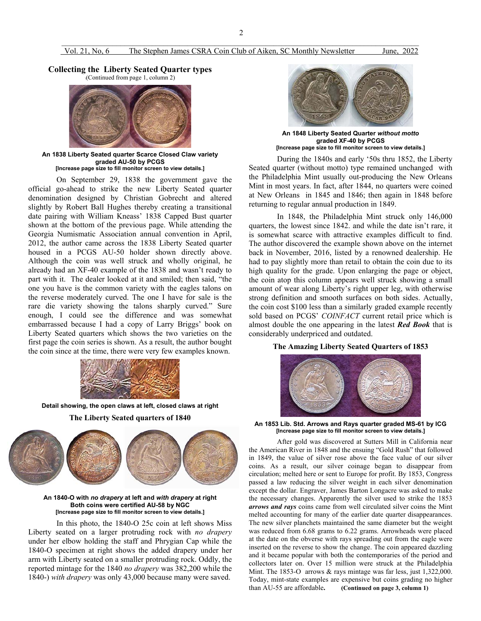#### Vol. 21, No, 6 The Stephen James CSRA Coin Club of Aiken, SC Monthly Newsletter June, 2022

# **Collecting the Liberty Seated Quarter types (Continued from page 1, column 2)**





**An 1838 Liberty Seated quarter Scarce Closed Claw variety graded AU-50 by PCGS [Increase page size to fill monitor screen to view details.]**

On September 29, 1838 the government gave the official go-ahead to strike the new Liberty Seated quarter denomination designed by Christian Gobrecht and altered slightly by Robert Ball Hughes thereby creating a transitional date pairing with William Kneass' 1838 Capped Bust quarter shown at the bottom of the previous page. While attending the Georgia Numismatic Association annual convention in April, 2012, the author came across the 1838 Liberty Seated quarter housed in a PCGS AU-50 holder shown directly above. Although the coin was well struck and wholly original, he already had an XF-40 example of the 1838 and wasn't ready to part with it. The dealer looked at it and smiled; then said, "the one you have is the common variety with the eagles talons on the reverse moderately curved. The one I have for sale is the rare die variety showing the talons sharply curved." Sure enough, I could see the difference and was somewhat embarrassed because I had a copy of Larry Briggs' book on Liberty Seated quarters which shows the two varieties on the first page the coin series is shown. As a result, the author bought the coin since at the time, there were very few examples known.



**Detail showing, the open claws at left, closed claws at right** 

**The Liberty Seated quarters of 1840** 



**An 1840-O with** *no drapery* **at left and** *with drapery* **at right Both coins were certified AU-58 by NGC [Increase page size to fill monitor screen to view details.]**

In this photo, the 1840-O 25c coin at left shows Miss Liberty seated on a larger protruding rock with *no drapery* under her elbow holding the staff and Phrygian Cap while the 1840-O specimen at right shows the added drapery under her arm with Liberty seated on a smaller protruding rock. Oddly, the reported mintage for the 1840 *no drapery* was 382,200 while the 1840-) *with drapery* was only 43,000 because many were saved.



**An 1848 Liberty Seated Quarter** *without motto* **graded XF-40 by PCGS [Increase page size to fill monitor screen to view details.]**

During the 1840s and early '50s thru 1852, the Liberty Seated quarter (without motto) type remained unchanged with the Philadelphia Mint usually out-producing the New Orleans Mint in most years. In fact, after 1844, no quarters were coined at New Orleans in 1845 and 1846; then again in 1848 before returning to regular annual production in 1849.

 In 1848, the Philadelphia Mint struck only 146,000 quarters, the lowest since 1842. and while the date isn't rare, it is somewhat scarce with attractive examples difficult to find. The author discovered the example shown above on the internet back in November, 2016, listed by a renowned dealership. He had to pay slightly more than retail to obtain the coin due to its high quality for the grade. Upon enlarging the page or object, the coin atop this column appears well struck showing a small amount of wear along Liberty's right upper leg, with otherwise strong definition and smooth surfaces on both sides. Actually, the coin cost \$100 less than a similarly graded example recently sold based on PCGS' *COINFACT* current retail price which is almost double the one appearing in the latest *Red Book* that is considerably underpriced and outdated.

#### **The Amazing Liberty Seated Quarters of 1853**



**An 1853 Lib. Std. Arrows and Rays quarter graded MS-61 by ICG [Increase page size to fill monitor screen to view details.]**

After gold was discovered at Sutters Mill in California near the American River in 1848 and the ensuing "Gold Rush" that followed in 1849, the value of silver rose above the face value of our silver coins. As a result, our silver coinage began to disappear from circulation; melted here or sent to Europe for profit. By 1853, Congress passed a law reducing the silver weight in each silver denomination except the dollar. Engraver, James Barton Longacre was asked to make the necessary changes. Apparently the silver used to strike the 1853 *arrows and rays* coins came from well circulated silver coins the Mint melted accounting for many of the earlier date quarter disappearances. The new silver planchets maintained the same diameter but the weight was reduced from 6.68 grams to 6.22 grams. Arrowheads were placed at the date on the obverse with rays spreading out from the eagle were inserted on the reverse to show the change. The coin appeared dazzling and it became popular with both the contemporaries of the period and collectors later on. Over 15 million were struck at the Philadelphia Mint. The 1853-O arrows & rays mintage was far less, just 1,322,000. Today, mint-state examples are expensive but coins grading no higher than AU-55 are affordable**. (Continued on page 3, column 1)**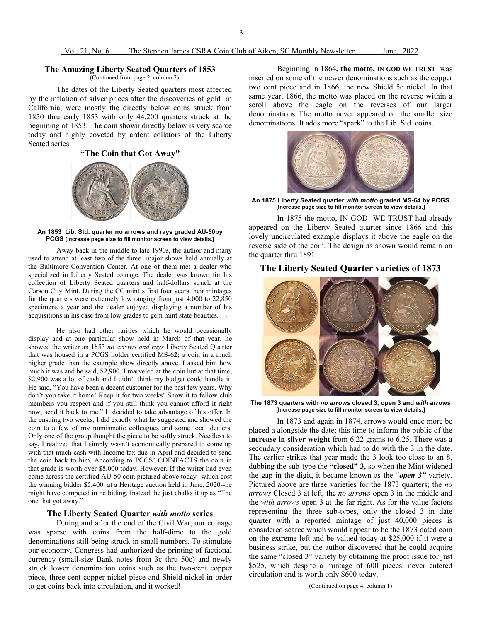# **The Amazing Liberty Seated Quarters of 1853** (Continued from page 2, column 2)

The dates of the Liberty Seated quarters most affected by the inflation of silver prices after the discoveries of gold in California, were mostly the directly below coins struck from 1850 thru early 1853 with only 44,200 quarters struck at the beginning of 1853. The coin shown directly below is very scarce today and highly coveted by ardent collators of the Liberty Seated series.

#### **"The Coin that Got Away"**



**An 1853 Lib. Std. quarter no arrows and rays graded AU-50by PCGS [Increase page size to fill monitor screen to view details.]**

 Away back in the middle to late 1990s, the author and many used to attend at least two of the three major shows held annually at the Baltimore Convention Center. At one of them met a dealer who specialized in Liberty Seated coinage. The dealer was known for his collection of Liberty Seated quarters and half-dollars struck at the Carson City Mint. During the CC mint's first four years their mintages for the quarters were extremely low ranging from just 4,000 to 22,850 specimens a year and the dealer enjoyed displaying a number of his acquisitions in his case from low grades to gem mint state beauties. \

He also had other rarities which he would occasionally display and at one particular show held in March of that year, he showed the writer an 1853 *no arrows and rays* Liberty Seated Quarter that was housed in a PCGS holder certified MS-6**2;** a coin in a much higher grade than the example show directly above. I asked him how much it was and he said, \$2,900. I marveled at the coin but at that time, \$2,900 was a lot of cash and I didn't think my budget could handle it. He said, "You have been a decent customer for the past few years. Why don't you take it home! Keep it for two weeks! Show it to fellow club members you respect and if you still think you cannot afford it right now, send it back to me." I decided to take advantage of his offer. In the ensuing two weeks, I did exactly what he suggested and showed the coin to a few of my numismatic colleagues and some local dealers. Only one of the group thought the piece to be softly struck. Needless to say, I realized that I simply wasn't economically prepared to come up with that much cash with Income tax due in April and decided to send the coin back to him. According to PCGS' COINFACTS the coin in that grade is worth over \$8,000 today. However, If the writer had even come across the certified AU-50 coin pictured above today--which cost the winning bidder \$5,400 at a Heritage auction held in June, 2020--he might have competed in he biding. Instead, he just chalks it up as "The one that got away."

#### **The Liberty Seated Quarter** *with motto* **series**

During and after the end of the Civil War, our coinage was sparse with coins from the half-dime to the gold denominations still being struck in small numbers. To stimulate our economy, Congress had authorized the printing of factional currency (small-size Bank notes from 3c thru 50c) and newly struck lower denomination coins such as the two-cent copper piece, three cent copper-nickel piece and Shield nickel in order to get coins back into circulation, and it worked!

 Beginning in 1864**, the motto, IN GOD WE TRUST** was inserted on some of the newer denominations such as the copper two cent piece and in 1866, the new Shield 5c nickel. In that same year, 1866, the motto was placed on the reverse within a scroll above the eagle on the reverses of our larger denominations The motto never appeared on the smaller size denominations. It adds more "spark" to the Lib. Std. coins.



**An 1875 Liberty Seated quarter** *with motto* **graded MS-64 by PCGS [Increase page size to fill monitor screen to view details.]** 

In 1875 the motto, IN GOD WE TRUST had already appeared on the Liberty Seated quarter since 1866 and this lovely uncirculated example displays it above the eagle on the reverse side of the coin. The design as shown would remain on the quarter thru 1891.

### **The Liberty Seated Quarter varieties of 1873**



**The 1873 quarters with** *no arrows* **closed 3, open 3 and** *with arrows* **[Increase page size to fill monitor screen to view details.]**

In 1873 and again in 1874, arrows would once more be placed a alongside the date; this time to inform the public of the **increase in silver weight** from 6.22 grams to 6.25. There was a secondary consideration which had to do with the 3 in the date. The earlier strikes that year made the 3 look too close to an 8, dubbing the sub-type the **"closed" 3**, so when the Mint widened the gap in the digit, it became known as the "*open 3"* variety. Pictured above are three varieties for the 1873 quarters; the *no arrows* Closed 3 at left, the *no arrows* open 3 in the middle and the *with arrows* open 3 at the far right. As for the value factors representing the three sub-types, only the closed 3 in date quarter with a reported mintage of just 40,000 pieces is considered scarce which would appear to be the 1873 dated coin on the extreme left and be valued today at \$25,000 if it were a business strike, but the author discovered that he could acquire the same "closed 3" variety by obtaining the proof issue for just \$525, which despite a mintage of 600 pieces, never entered circulation and is worth only \$600 today.

(Continued on page 4, column 1)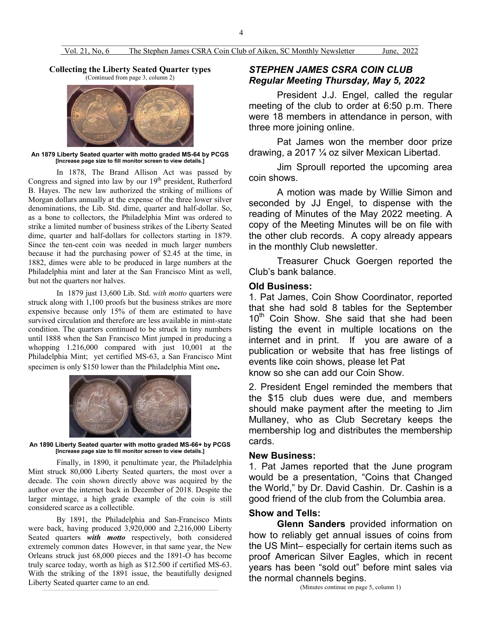**Collecting the Liberty Seated Quarter types**  (Continued from page 3, column 2)



**An 1879 Liberty Seated quarter with motto graded MS-64 by PCGS [Increase page size to fill monitor screen to view details.]**

In 1878, The Brand Allison Act was passed by Congress and signed into law by our 19<sup>th</sup> president, Rutherford B. Hayes. The new law authorized the striking of millions of Morgan dollars annually at the expense of the three lower silver denominations, the Lib. Std. dime, quarter and half-dollar. So, as a bone to collectors, the Philadelphia Mint was ordered to strike a limited number of business strikes of the Liberty Seated dime, quarter and half-dollars for collectors starting in 1879. Since the ten-cent coin was needed in much larger numbers because it had the purchasing power of \$2.45 at the time, in 1882, dimes were able to be produced in large numbers at the Philadelphia mint and later at the San Francisco Mint as well, but not the quarters nor halves.

In 1879 just 13,600 Lib. Std. *with motto* quarters were struck along with 1,100 proofs but the business strikes are more expensive because only 15% of them are estimated to have survived circulation and therefore are less available in mint-state condition. The quarters continued to be struck in tiny numbers until 1888 when the San Francisco Mint jumped in producing a whopping 1.216,000 compared with just 10,001 at the Philadelphia Mint; yet certified MS-63, a San Francisco Mint specimen is only \$150 lower than the Philadelphia Mint one**.**



**An 1890 Liberty Seated quarter with motto graded MS-66+ by PCGS [Increase page size to fill monitor screen to view details.]**

Finally, in 1890, it penultimate year, the Philadelphia Mint struck 80,000 Liberty Seated quarters, the most over a decade. The coin shown directly above was acquired by the author over the internet back in December of 2018. Despite the larger mintage, a high grade example of the coin is still considered scarce as a collectible.

By 1891, the Philadelphia and San-Francisco Mints were back, having produced 3,920,000 and 2,216,000 Liberty Seated quarters *with motto* respectively, both considered extremely common dates However, in that same year, the New Orleans struck just 68,000 pieces and the 1891-O has become truly scarce today, worth as high as \$12.500 if certified MS-63. With the striking of the 1891 issue, the beautifully designed Liberty Seated quarter came to an end.

# *STEPHEN JAMES CSRA COIN CLUB Regular Meeting Thursday, May 5, 2022*

President J.J. Engel, called the regular meeting of the club to order at 6:50 p.m. There were 18 members in attendance in person, with three more joining online.

Pat James won the member door prize drawing, a 2017 ¼ oz silver Mexican Libertad.

Jim Sproull reported the upcoming area coin shows.

A motion was made by Willie Simon and seconded by JJ Engel, to dispense with the reading of Minutes of the May 2022 meeting. A copy of the Meeting Minutes will be on file with the other club records. A copy already appears in the monthly Club newsletter.

Treasurer Chuck Goergen reported the Club's bank balance.

## **Old Business:**

1. Pat James, Coin Show Coordinator, reported that she had sold 8 tables for the September 10<sup>th</sup> Coin Show. She said that she had been listing the event in multiple locations on the internet and in print. If you are aware of a publication or website that has free listings of events like coin shows, please let Pat know so she can add our Coin Show.

2. President Engel reminded the members that the \$15 club dues were due, and members should make payment after the meeting to Jim Mullaney, who as Club Secretary keeps the membership log and distributes the membership cards.

## **New Business:**

1. Pat James reported that the June program would be a presentation, "Coins that Changed the World," by Dr. David Cashin. Dr. Cashin is a good friend of the club from the Columbia area.

## **Show and Tells:**

**Glenn Sanders** provided information on how to reliably get annual issues of coins from the US Mint– especially for certain items such as proof American Silver Eagles, which in recent years has been "sold out" before mint sales via the normal channels begins.

(Minutes continue on page 5, column 1)